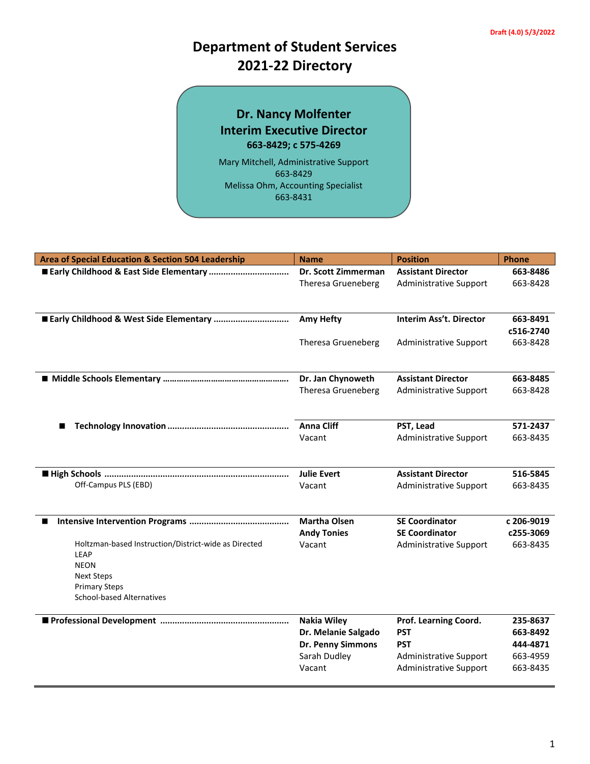# **Department of Student Services 2021-22 Directory**

### **Dr. Nancy Molfenter Interim Executive Director 663-8429; c 575-4269**

Mary Mitchell, Administrative Support 663-8429 Melissa Ohm, Accounting Specialist 663-8431

| Area of Special Education & Section 504 Leadership           | <b>Name</b>                 | <b>Position</b>               | <b>Phone</b> |
|--------------------------------------------------------------|-----------------------------|-------------------------------|--------------|
|                                                              | Dr. Scott Zimmerman         | <b>Assistant Director</b>     | 663-8486     |
|                                                              | <b>Theresa Grueneberg</b>   | Administrative Support        | 663-8428     |
|                                                              |                             |                               |              |
|                                                              |                             |                               |              |
|                                                              | <b>Amy Hefty</b>            | Interim Ass't. Director       | 663-8491     |
|                                                              |                             |                               | c516-2740    |
|                                                              | Theresa Grueneberg          | <b>Administrative Support</b> | 663-8428     |
|                                                              |                             |                               |              |
|                                                              | Dr. Jan Chynoweth           | <b>Assistant Director</b>     | 663-8485     |
|                                                              | Theresa Grueneberg          | <b>Administrative Support</b> | 663-8428     |
|                                                              |                             |                               |              |
|                                                              |                             |                               |              |
|                                                              | <b>Anna Cliff</b><br>Vacant | PST, Lead                     | 571-2437     |
|                                                              |                             | <b>Administrative Support</b> | 663-8435     |
|                                                              |                             |                               |              |
|                                                              | <b>Julie Evert</b>          | <b>Assistant Director</b>     | 516-5845     |
| Off-Campus PLS (EBD)                                         | Vacant                      | <b>Administrative Support</b> | 663-8435     |
|                                                              |                             |                               |              |
|                                                              | <b>Martha Olsen</b>         | <b>SE Coordinator</b>         | c 206-9019   |
|                                                              | <b>Andy Tonies</b>          | <b>SE Coordinator</b>         | c255-3069    |
| Holtzman-based Instruction/District-wide as Directed<br>LEAP | Vacant                      | Administrative Support        | 663-8435     |
| <b>NEON</b>                                                  |                             |                               |              |
| <b>Next Steps</b>                                            |                             |                               |              |
| <b>Primary Steps</b>                                         |                             |                               |              |
| <b>School-based Alternatives</b>                             |                             |                               |              |
|                                                              | <b>Nakia Wiley</b>          | Prof. Learning Coord.         | 235-8637     |
|                                                              | Dr. Melanie Salgado         | <b>PST</b>                    | 663-8492     |
|                                                              | Dr. Penny Simmons           | <b>PST</b>                    | 444-4871     |
|                                                              | Sarah Dudley                | <b>Administrative Support</b> | 663-4959     |
|                                                              | Vacant                      | <b>Administrative Support</b> | 663-8435     |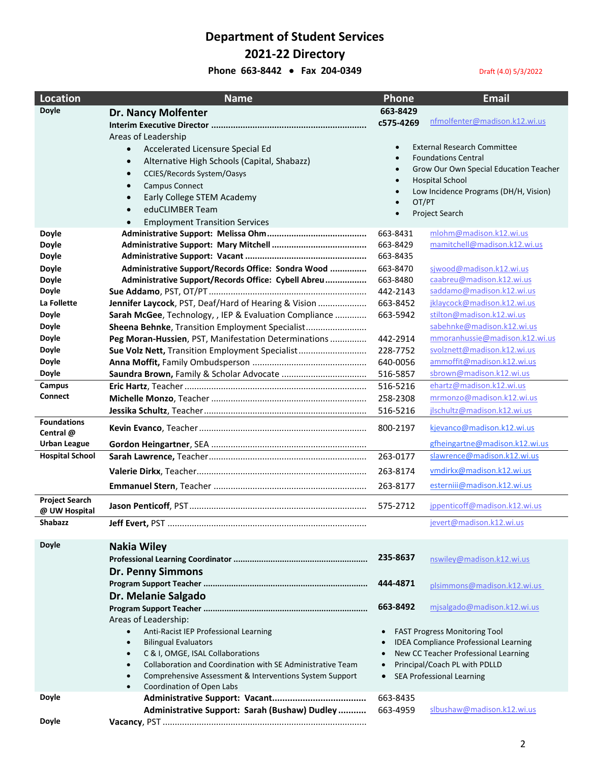# **Department of Student Services 2021-22 Directory**

#### **Phone 663-8442 • Fax 204-0349** Draft (4.0) 5/3/2022

| <b>Location</b>                        | <b>Name</b>                                                                                                    | <b>Phone</b>       | <b>Email</b>                                 |
|----------------------------------------|----------------------------------------------------------------------------------------------------------------|--------------------|----------------------------------------------|
| <b>Doyle</b>                           | <b>Dr. Nancy Molfenter</b>                                                                                     | 663-8429           |                                              |
|                                        |                                                                                                                | c575-4269          | nfmolfenter@madison.k12.wi.us                |
|                                        | Areas of Leadership                                                                                            |                    |                                              |
|                                        | Accelerated Licensure Special Ed<br>$\bullet$                                                                  | $\bullet$          | <b>External Research Committee</b>           |
|                                        | Alternative High Schools (Capital, Shabazz)<br>$\bullet$                                                       |                    | <b>Foundations Central</b>                   |
|                                        | <b>CCIES/Records System/Oasys</b><br>$\bullet$                                                                 | $\bullet$          | Grow Our Own Special Education Teacher       |
|                                        | <b>Campus Connect</b><br>$\bullet$                                                                             | $\bullet$          | <b>Hospital School</b>                       |
|                                        | Early College STEM Academy<br>$\bullet$                                                                        | $\bullet$          | Low Incidence Programs (DH/H, Vision)        |
|                                        | eduCLIMBER Team<br>$\bullet$                                                                                   | OT/PT<br>$\bullet$ |                                              |
|                                        | <b>Employment Transition Services</b><br>$\bullet$                                                             | $\bullet$          | Project Search                               |
| <b>Doyle</b>                           |                                                                                                                | 663-8431           | mlohm@madison.k12.wi.us                      |
| <b>Doyle</b>                           |                                                                                                                | 663-8429           | mamitchell@madison.k12.wi.us                 |
| <b>Doyle</b>                           |                                                                                                                | 663-8435           |                                              |
| <b>Doyle</b>                           | Administrative Support/Records Office: Sondra Wood                                                             | 663-8470           | sjwood@madison.k12.wi.us                     |
| <b>Doyle</b>                           | Administrative Support/Records Office: Cybell Abreu                                                            | 663-8480           | caabreu@madison.k12.wi.us                    |
| <b>Doyle</b>                           |                                                                                                                | 442-2143           | saddamo@madison.k12.wi.us                    |
| La Follette                            | Jennifer Laycock, PST, Deaf/Hard of Hearing & Vision                                                           | 663-8452           | jklaycock@madison.k12.wi.us                  |
| <b>Doyle</b>                           | Sarah McGee, Technology, , IEP & Evaluation Compliance                                                         | 663-5942           | stilton@madison.k12.wi.us                    |
| <b>Doyle</b>                           | Sheena Behnke, Transition Employment Specialist                                                                |                    | sabehnke@madison.k12.wi.us                   |
| <b>Doyle</b>                           | Peg Moran-Hussien, PST, Manifestation Determinations                                                           | 442-2914           | mmoranhussie@madison.k12.wi.us               |
| <b>Doyle</b>                           | Sue Volz Nett, Transition Employment Specialist                                                                | 228-7752           | svolznett@madison.k12.wi.us                  |
| <b>Doyle</b>                           |                                                                                                                | 640-0056           | ammoffit@madison.k12.wi.us                   |
| <b>Doyle</b>                           |                                                                                                                | 516-5857           | sbrown@madison.k12.wi.us                     |
| Campus                                 |                                                                                                                | 516-5216           | ehartz@madison.k12.wi.us                     |
| <b>Connect</b>                         |                                                                                                                | 258-2308           | mrmonzo@madison.k12.wi.us                    |
|                                        |                                                                                                                | 516-5216           | jlschultz@madison.k12.wi.us                  |
| <b>Foundations</b><br>Central @        |                                                                                                                | 800-2197           | kjevanco@madison.k12.wi.us                   |
| <b>Urban League</b>                    |                                                                                                                |                    | gfheingartne@madison.k12.wi.us               |
| <b>Hospital School</b>                 |                                                                                                                | 263-0177           | slawrence@madison.k12.wi.us                  |
|                                        |                                                                                                                | 263-8174           | vmdirkx@madison.k12.wi.us                    |
|                                        |                                                                                                                | 263-8177           | esterniii@madison.k12.wi.us                  |
|                                        |                                                                                                                |                    |                                              |
| <b>Project Search</b><br>@ UW Hospital |                                                                                                                | 575-2712           | jppenticoff@madison.k12.wi.us                |
| Shabazz                                |                                                                                                                |                    | jevert@madison.k12.wi.us                     |
|                                        |                                                                                                                |                    |                                              |
| <b>Doyle</b>                           | <b>Nakia Wiley</b>                                                                                             |                    |                                              |
|                                        |                                                                                                                | 235-8637           | nswiley@madison.k12.wi.us                    |
|                                        | <b>Dr. Penny Simmons</b>                                                                                       |                    |                                              |
|                                        |                                                                                                                | 444-4871           | plsimmons@madison.k12.wi.us                  |
|                                        | Dr. Melanie Salgado                                                                                            |                    |                                              |
|                                        |                                                                                                                | 663-8492           | misalgado@madison.k12.wi.us                  |
|                                        | Areas of Leadership:                                                                                           |                    |                                              |
|                                        | Anti-Racist IEP Professional Learning<br>$\bullet$                                                             |                    | <b>FAST Progress Monitoring Tool</b>         |
|                                        | <b>Bilingual Evaluators</b><br>$\bullet$                                                                       |                    | <b>IDEA Compliance Professional Learning</b> |
|                                        | C & I, OMGE, ISAL Collaborations<br>$\bullet$                                                                  |                    | New CC Teacher Professional Learning         |
|                                        | Collaboration and Coordination with SE Administrative Team<br>$\bullet$                                        |                    | Principal/Coach PL with PDLLD                |
|                                        | Comprehensive Assessment & Interventions System Support<br>$\bullet$<br>Coordination of Open Labs<br>$\bullet$ | $\bullet$          | <b>SEA Professional Learning</b>             |
| <b>Doyle</b>                           |                                                                                                                | 663-8435           |                                              |
|                                        | Administrative Support: Sarah (Bushaw) Dudley                                                                  | 663-4959           | slbushaw@madison.k12.wi.us                   |
| <b>Doyle</b>                           |                                                                                                                |                    |                                              |
|                                        |                                                                                                                |                    |                                              |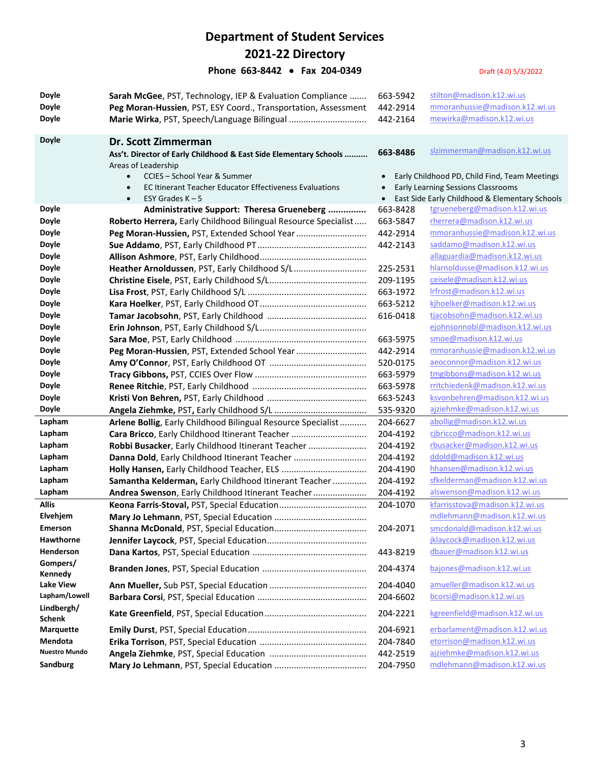### **Department of Student Services 2021-22 Directory Phone 663-8442 • Fax 204-0349** Draft (4.0) 5/3/2022

| <b>Doyle</b>                | Sarah McGee, PST, Technology, IEP & Evaluation Compliance         | 663-5942  | stilton@madison.k12.wi.us                      |
|-----------------------------|-------------------------------------------------------------------|-----------|------------------------------------------------|
| <b>Doyle</b>                | Peg Moran-Hussien, PST, ESY Coord., Transportation, Assessment    | 442-2914  | mmoranhussie@madison.k12.wi.us                 |
| <b>Doyle</b>                |                                                                   | 442-2164  | mewirka@madison.k12.wi.us                      |
|                             |                                                                   |           |                                                |
| <b>Doyle</b>                | Dr. Scott Zimmerman                                               |           |                                                |
|                             | Ass't. Director of Early Childhood & East Side Elementary Schools | 663-8486  | slzimmerman@madison.k12.wi.us                  |
|                             | Areas of Leadership                                               |           |                                                |
|                             | CCIES - School Year & Summer<br>$\bullet$                         |           | Early Childhood PD, Child Find, Team Meetings  |
|                             | <b>EC Itinerant Teacher Educator Effectiveness Evaluations</b>    |           | Early Learning Sessions Classrooms             |
|                             | ESY Grades $K - 5$<br>$\bullet$                                   | $\bullet$ | East Side Early Childhood & Elementary Schools |
| <b>Doyle</b>                | Administrative Support: Theresa Grueneberg                        | 663-8428  | tgrueneberg@madison.k12.wi.us                  |
| <b>Doyle</b>                | Roberto Herrera, Early Childhood Bilingual Resource Specialist    | 663-5847  | rherrera@madison.k12.wi.us                     |
| <b>Doyle</b>                | Peg Moran-Hussien, PST, Extended School Year                      | 442-2914  | mmoranhussie@madison.k12.wi.us                 |
| <b>Doyle</b>                |                                                                   | 442-2143  | saddamo@madison.k12.wi.us                      |
| <b>Doyle</b>                |                                                                   |           | allaguardia@madison.k12.wi.us                  |
| <b>Doyle</b>                | Heather Arnoldussen, PST, Early Childhood S/L                     | 225-2531  | hlarnoldusse@madison.k12.wi.us                 |
| <b>Doyle</b>                |                                                                   | 209-1195  | ceisele@madison.k12.wi.us                      |
| <b>Doyle</b>                |                                                                   | 663-1972  | Irfrost@madison.k12.wi.us                      |
| Doyle                       |                                                                   | 663-5212  | kjhoelker@madison.k12.wi.us                    |
| <b>Doyle</b>                |                                                                   | 616-0418  | tjacobsohn@madison.k12.wi.us                   |
| <b>Doyle</b>                |                                                                   |           | ejohnsonnobl@madison.k12.wi.us                 |
| <b>Doyle</b>                |                                                                   | 663-5975  | smoe@madison.k12.wi.us                         |
| <b>Doyle</b>                | Peg Moran-Hussien, PST, Extended School Year                      | 442-2914  | mmoranhussie@madison.k12.wi.us                 |
| <b>Doyle</b>                |                                                                   | 520-0175  | aeoconnor@madison.k12.wi.us                    |
| <b>Doyle</b>                |                                                                   | 663-5979  | tmgibbons@madison.k12.wi.us                    |
| <b>Doyle</b>                |                                                                   | 663-5978  | rritchiedenk@madison.k12.wi.us                 |
| <b>Doyle</b>                |                                                                   | 663-5243  | ksvonbehren@madison.k12.wi.us                  |
| Doyle                       |                                                                   | 535-9320  | ajziehmke@madison.k12.wi.us                    |
| Lapham                      | Arlene Bollig, Early Childhood Bilingual Resource Specialist      | 204-6627  | abollig@madison.k12.wi.us                      |
| Lapham                      | Cara Bricco, Early Childhood Itinerant Teacher                    | 204-4192  | cjbricco@madison.k12.wi.us                     |
| Lapham                      | Robbi Busacker, Early Childhood Itinerant Teacher                 | 204-4192  | rbusacker@madison.k12.wi.us                    |
| Lapham                      | Danna Dold, Early Childhood Itinerant Teacher                     | 204-4192  | ddold@madison.k12.wi.us                        |
| Lapham                      |                                                                   | 204-4190  | hhansen@madison.k12.wi.us                      |
| Lapham                      | Samantha Kelderman, Early Childhood Itinerant Teacher             | 204-4192  | sfkelderman@madison.k12.wi.us                  |
| Lapham                      | Andrea Swenson, Early Childhood Itinerant Teacher                 | 204-4192  | alswenson@madison.k12.wi.us                    |
| <b>Allis</b>                |                                                                   | 204-1070  | kfarrisstova@madison.k12.wi.us                 |
| Elvehjem                    |                                                                   |           | mdlehmann@madison.k12.wi.us                    |
| Emerson                     |                                                                   | 204-2071  | smcdonald@madison.k12.wi.us                    |
| <b>Hawthorne</b>            |                                                                   |           | jklaycock@madison.k12.wi.us                    |
| Henderson                   |                                                                   | 443-8219  | dbauer@madison.k12.wi.us                       |
| Gompers/                    |                                                                   |           |                                                |
| Kennedy                     |                                                                   | 204-4374  | bajones@madison.k12.wi.us                      |
| Lake View                   |                                                                   | 204-4040  | amueller@madison.k12.wi.us                     |
| Lapham/Lowell               |                                                                   | 204-6602  | bcorsi@madison.k12.wi.us                       |
| Lindbergh/                  |                                                                   | 204-2221  | kgreenfield@madison.k12.wi.us                  |
| <b>Schenk</b>               |                                                                   |           | erbarlament@madison.k12.wi.us                  |
| <b>Marquette</b><br>Mendota |                                                                   | 204-6921  | etorrison@madison.k12.wi.us                    |
| <b>Nuestro Mundo</b>        |                                                                   | 204-7840  | ajziehmke@madison.k12.wi.us                    |
|                             |                                                                   | 442-2519  |                                                |
| <b>Sandburg</b>             |                                                                   | 204-7950  | mdlehmann@madison.k12.wi.us                    |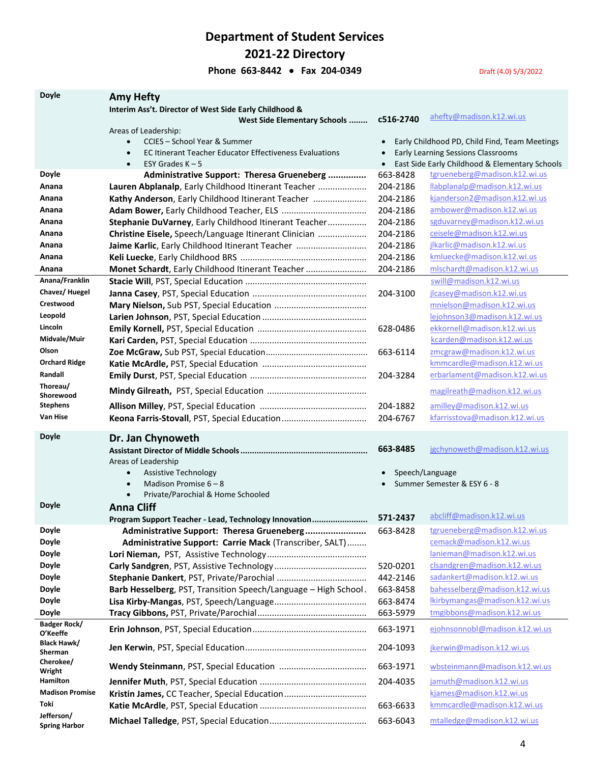**Department of Student Services 2021-22 Directory**

**Phone 663-8442 • Fax 204-0349** Draft (4.0) 5/3/2022

| <b>Doyle</b>                   | <b>Amy Hefty</b>                                                |           |                                                |
|--------------------------------|-----------------------------------------------------------------|-----------|------------------------------------------------|
|                                | Interim Ass't. Director of West Side Early Childhood &          |           |                                                |
|                                | West Side Elementary Schools                                    | c516-2740 | ahefty@madison.k12.wi.us                       |
|                                | Areas of Leadership:                                            |           |                                                |
|                                | CCIES - School Year & Summer<br>$\bullet$                       |           | Early Childhood PD, Child Find, Team Meetings  |
|                                | EC Itinerant Teacher Educator Effectiveness Evaluations         |           | Early Learning Sessions Classrooms             |
|                                | ESY Grades $K - 5$<br>$\bullet$                                 | $\bullet$ | East Side Early Childhood & Elementary Schools |
| <b>Doyle</b>                   | Administrative Support: Theresa Grueneberg                      | 663-8428  | tgrueneberg@madison.k12.wi.us                  |
| Anana                          | Lauren Abplanalp, Early Childhood Itinerant Teacher             | 204-2186  | llabplanalp@madison.k12.wi.us                  |
| Anana                          | Kathy Anderson, Early Childhood Itinerant Teacher               | 204-2186  | kjanderson2@madison.k12.wi.us                  |
| Anana                          |                                                                 | 204-2186  | ambower@madison.k12.wi.us                      |
| Anana                          | Stephanie DuVarney, Early Childhood Itinerant Teacher           | 204-2186  | sgduvarney@madison.k12.wi.us                   |
| Anana                          | Christine Eisele, Speech/Language Itinerant Clinician           | 204-2186  | ceisele@madison.k12.wi.us                      |
| Anana                          | Jaime Karlic, Early Childhood Itinerant Teacher                 | 204-2186  | jlkarlic@madison.k12.wi.us                     |
| Anana                          |                                                                 | 204-2186  | kmluecke@madison.k12.wi.us                     |
| Anana                          | Monet Schardt, Early Childhood Itinerant Teacher                | 204-2186  | mlschardt@madison.k12.wi.us                    |
| Anana/Franklin                 |                                                                 |           | swill@madison.k12.wi.us                        |
| Chavez/Huegel                  |                                                                 | 204-3100  | jlcasey@madison.k12.wi.us                      |
| Crestwood                      |                                                                 |           | mnielson@madison.k12.wi.us                     |
| Leopold                        |                                                                 |           | lejohnson3@madison.k12.wi.us                   |
| Lincoln                        |                                                                 | 628-0486  | ekkornell@madison.k12.wi.us                    |
| Midvale/Muir                   |                                                                 |           | kcarden@madison.k12.wi.us                      |
| Olson                          |                                                                 | 663-6114  | zmcgraw@madison.k12.wi.us                      |
| <b>Orchard Ridge</b>           |                                                                 |           | kmmcardle@madison.k12.wi.us                    |
| Randall                        |                                                                 | 204-3284  | erbarlament@madison.k12.wi.us                  |
| Thoreau/                       |                                                                 |           |                                                |
| Shorewood                      |                                                                 |           | magilreath@madison.k12.wi.us                   |
| <b>Stephens</b>                |                                                                 | 204-1882  | amilley@madison.k12.wi.us                      |
| Van Hise                       |                                                                 | 204-6767  | kfarrisstova@madison.k12.wi.us                 |
|                                |                                                                 |           |                                                |
| <b>Doyle</b>                   | Dr. Jan Chynoweth                                               |           |                                                |
|                                |                                                                 | 663-8485  | jgchynoweth@madison.k12.wi.us                  |
|                                | Areas of Leadership                                             |           |                                                |
|                                | <b>Assistive Technology</b><br>$\bullet$                        |           | Speech/Language                                |
|                                | Madison Promise $6 - 8$<br>$\bullet$                            |           | Summer Semester & ESY 6 - 8                    |
|                                | Private/Parochial & Home Schooled                               |           |                                                |
| <b>Doyle</b>                   | <b>Anna Cliff</b>                                               |           | abcliff@madison.k12.wi.us                      |
|                                | Program Support Teacher - Lead, Technology Innovation           | 571-2437  |                                                |
| <b>Doyle</b>                   | Administrative Support: Theresa Grueneberg                      | 663-8428  | tgrueneberg@madison.k12.wi.us                  |
| <b>Doyle</b>                   | Administrative Support: Carrie Mack (Transcriber, SALT)         |           | cemack@madison.k12.wi.us                       |
| <b>Doyle</b>                   |                                                                 |           | lanieman@madison.k12.wi.us                     |
| <b>Doyle</b>                   |                                                                 | 520-0201  | clsandgren@madison.k12.wi.us                   |
| <b>Doyle</b>                   |                                                                 | 442-2146  | sadankert@madison.k12.wi.us                    |
| <b>Doyle</b>                   | Barb Hesselberg, PST, Transition Speech/Language - High School. | 663-8458  | bahesselberg@madison.k12.wi.us                 |
| <b>Doyle</b>                   |                                                                 | 663-8474  | Ikirbymangas@madison.k12.wi.us                 |
| <b>Doyle</b>                   |                                                                 | 663-5979  | tmgibbons@madison.k12.wi.us                    |
| Badger Rock/                   |                                                                 | 663-1971  | ejohnsonnobl@madison.k12.wi.us                 |
| O'Keeffe<br><b>Black Hawk/</b> |                                                                 |           |                                                |
| Sherman                        |                                                                 | 204-1093  | jkerwin@madison.k12.wi.us                      |
| Cherokee/                      |                                                                 |           |                                                |
| Wright                         |                                                                 | 663-1971  | wbsteinmann@madison.k12.wi.us                  |
| Hamilton                       |                                                                 | 204-4035  | jamuth@madison.k12.wi.us                       |
| <b>Madison Promise</b>         |                                                                 |           | kjames@madison.k12.wi.us                       |
|                                |                                                                 |           |                                                |
| Toki<br>Jefferson/             |                                                                 | 663-6633  | kmmcardle@madison.k12.wi.us                    |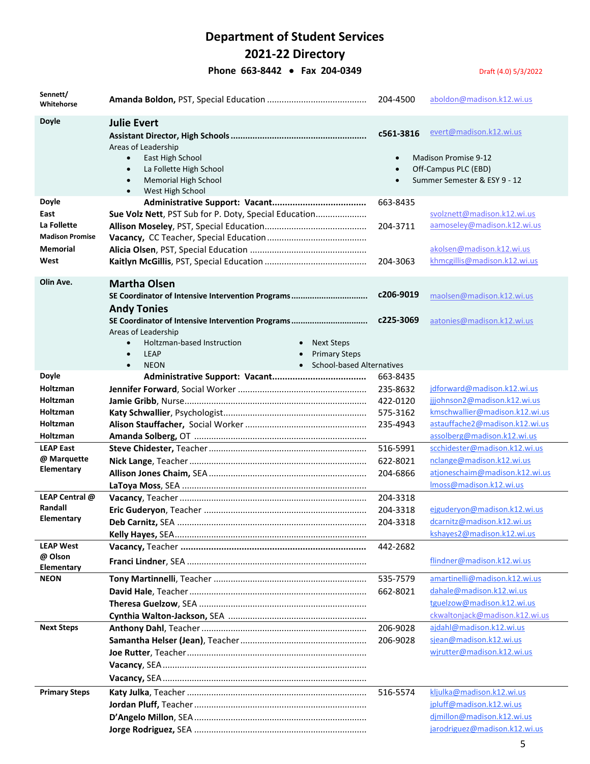# **Department of Student Services**

**2021-22 Directory**

**Phone 663-8442 • Fax 204-0349** Draft (4.0) 5/3/2022

| Sennett/<br>Whitehorse                                                                        |                                                                                                                                                                                                                                                                                                                                              | 204-4500                                                 | aboldon@madison.k12.wi.us                                                                                                                                      |
|-----------------------------------------------------------------------------------------------|----------------------------------------------------------------------------------------------------------------------------------------------------------------------------------------------------------------------------------------------------------------------------------------------------------------------------------------------|----------------------------------------------------------|----------------------------------------------------------------------------------------------------------------------------------------------------------------|
| <b>Doyle</b>                                                                                  | <b>Julie Evert</b><br>Areas of Leadership<br>East High School<br>$\bullet$<br>La Follette High School<br>$\bullet$<br><b>Memorial High School</b><br>$\bullet$<br>West High School<br>$\bullet$                                                                                                                                              | c561-3816<br>$\bullet$<br>$\bullet$                      | evert@madison.k12.wi.us<br><b>Madison Promise 9-12</b><br>Off-Campus PLC (EBD)<br>Summer Semester & ESY 9 - 12                                                 |
| <b>Doyle</b><br>East<br>La Follette<br><b>Madison Promise</b><br><b>Memorial</b><br>West      | Sue Volz Nett, PST Sub for P. Doty, Special Education                                                                                                                                                                                                                                                                                        | 663-8435<br>204-3711<br>204-3063                         | svolznett@madison.k12.wi.us<br>aamoseley@madison.k12.wi.us<br>akolsen@madison.k12.wi.us<br>khmcgillis@madison.k12.wi.us                                        |
| Olin Ave.                                                                                     | <b>Martha Olsen</b><br>SE Coordinator of Intensive Intervention Programs<br><b>Andy Tonies</b><br>SE Coordinator of Intensive Intervention Programs<br>Areas of Leadership<br>Holtzman-based Instruction<br>• Next Steps<br><b>LEAP</b><br><b>Primary Steps</b><br>$\bullet$<br><b>School-based Alternatives</b><br><b>NEON</b><br>$\bullet$ | c206-9019<br>c225-3069                                   | maolsen@madison.k12.wi.us<br>aatonies@madison.k12.wi.us                                                                                                        |
| <b>Doyle</b><br><b>Holtzman</b><br>Holtzman<br>Holtzman<br><b>Holtzman</b><br><b>Holtzman</b> |                                                                                                                                                                                                                                                                                                                                              | 663-8435<br>235-8632<br>422-0120<br>575-3162<br>235-4943 | jdforward@madison.k12.wi.us<br>jjjohnson2@madison.k12.wi.us<br>kmschwallier@madison.k12.wi.us<br>astauffache2@madison.k12.wi.us<br>assolberg@madison.k12.wi.us |
| <b>LEAP East</b><br>@ Marquette<br><b>Elementary</b><br>LEAP Central @                        |                                                                                                                                                                                                                                                                                                                                              | 516-5991<br>622-8021<br>204-6866<br>204-3318             | scchidester@madison.k12.wi.us<br>nclange@madison.k12.wi.us<br>atjoneschaim@madison.k12.wi.us<br>Imoss@madison.k12.wi.us                                        |
| Randall<br>Elementary<br><b>LEAP West</b>                                                     |                                                                                                                                                                                                                                                                                                                                              | 204-3318<br>204-3318                                     | ejguderyon@madison.k12.wi.us<br>dcarnitz@madison.k12.wi.us<br>kshayes2@madison.k12.wi.us                                                                       |
| @ Olson<br>Elementary                                                                         |                                                                                                                                                                                                                                                                                                                                              | 442-2682                                                 | flindner@madison.k12.wi.us                                                                                                                                     |
| <b>NEON</b>                                                                                   |                                                                                                                                                                                                                                                                                                                                              | 535-7579<br>662-8021                                     | amartinelli@madison.k12.wi.us<br>dahale@madison.k12.wi.us<br>tguelzow@madison.k12.wi.us<br>ckwaltonjack@madison.k12.wi.us                                      |
| <b>Next Steps</b>                                                                             |                                                                                                                                                                                                                                                                                                                                              | 206-9028<br>206-9028                                     | ajdahl@madison.k12.wi.us<br>sjean@madison.k12.wi.us<br>wjrutter@madison.k12.wi.us                                                                              |
| <b>Primary Steps</b>                                                                          |                                                                                                                                                                                                                                                                                                                                              | 516-5574                                                 | kljulka@madison.k12.wi.us<br>jpluff@madison.k12.wi.us<br>djmillon@madison.k12.wi.us<br>jarodriguez@madison.k12.wi.us                                           |